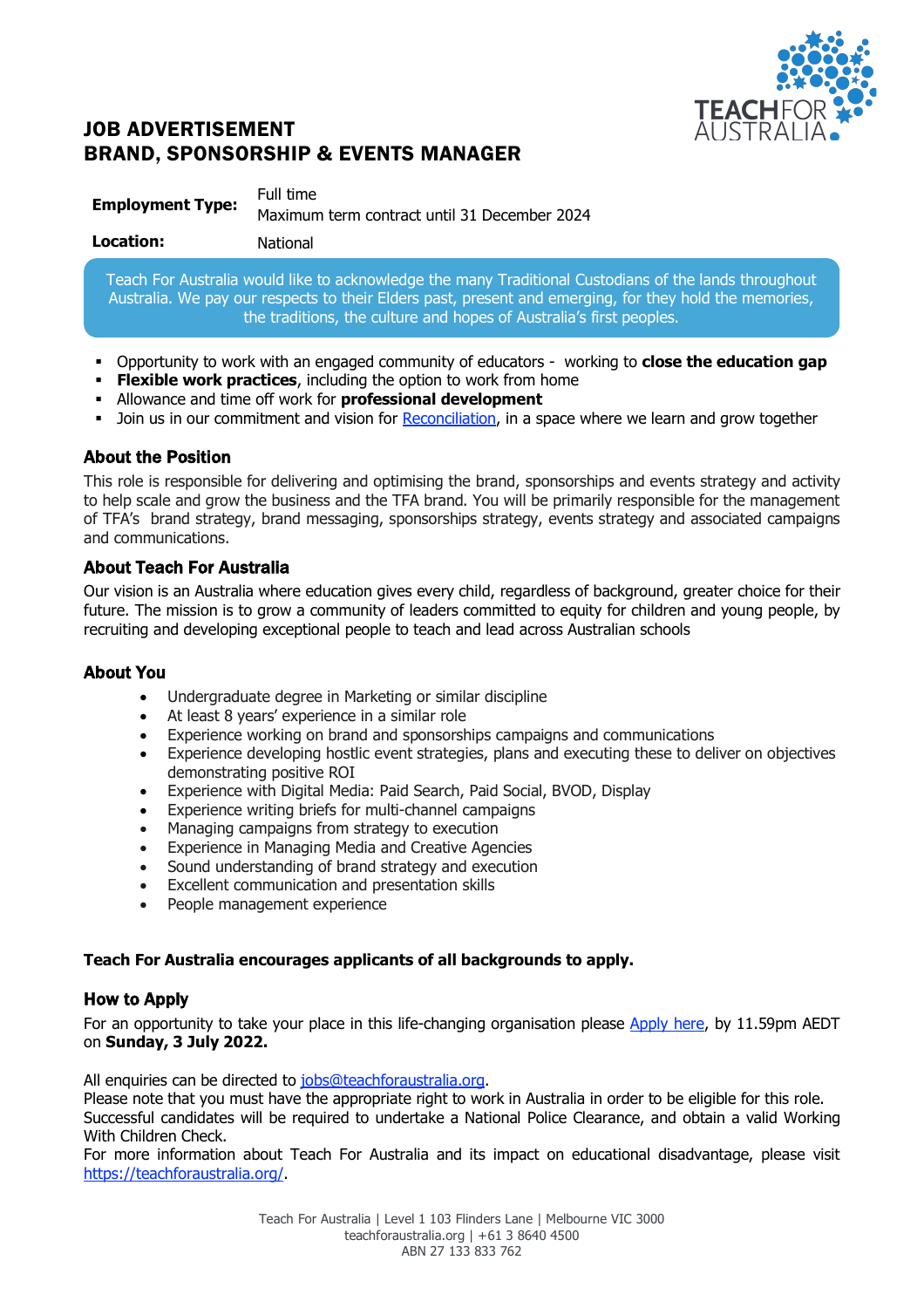

# JOB ADVERTISEMENT BRAND, SPONSORSHIP & EVENTS MANAGER

| <b>Employment Type:</b> | Full time                                    |
|-------------------------|----------------------------------------------|
|                         | Maximum term contract until 31 December 2024 |

Teach For Australia would like to acknowledge the many Traditional Custodians of the lands throughout Australia. We pay our respects to their Elders past, present and emerging, for they hold the memories, the traditions, the culture and hopes of Australia's first peoples.

- § Opportunity to work with an engaged community of educators working to **close the education gap**
- **Flexible work practices**, including the option to work from home
- § Allowance and time off work for **professional development**
- Join us in our commitment and vision for Reconciliation, in a space where we learn and grow together

## About the Position

This role is responsible for delivering and optimising the brand, sponsorships and events strategy and activity to help scale and grow the business and the TFA brand. You will be primarily responsible for the management of TFA's brand strategy, brand messaging, sponsorships strategy, events strategy and associated campaigns and communications.

## About Teach For Australia

Our vision is an Australia where education gives every child, regardless of background, greater choice for their future. The mission is to grow a community of leaders committed to equity for children and young people, by recruiting and developing exceptional people to teach and lead across Australian schools

## About You

- Undergraduate degree in Marketing or similar discipline
- At least 8 years' experience in a similar role
- Experience working on brand and sponsorships campaigns and communications
- Experience developing hostlic event strategies, plans and executing these to deliver on objectives demonstrating positive ROI
- Experience with Digital Media: Paid Search, Paid Social, BVOD, Display
- Experience writing briefs for multi-channel campaigns
- Managing campaigns from strategy to execution
- Experience in Managing Media and Creative Agencies
- Sound understanding of brand strategy and execution
- Excellent communication and presentation skills
- People management experience

## **Teach For Australia encourages applicants of all backgrounds to apply.**

## How to Apply

For an opportunity to take your place in this life-changing organisation please Apply here, by 11.59pm AEDT on **Sunday, 3 July 2022.**

All enquiries can be directed to jobs@teachforaustralia.org.

Please note that you must have the appropriate right to work in Australia in order to be eligible for this role. Successful candidates will be required to undertake a National Police Clearance, and obtain a valid Working With Children Check.

For more information about Teach For Australia and its impact on educational disadvantage, please visit https://teachforaustralia.org/.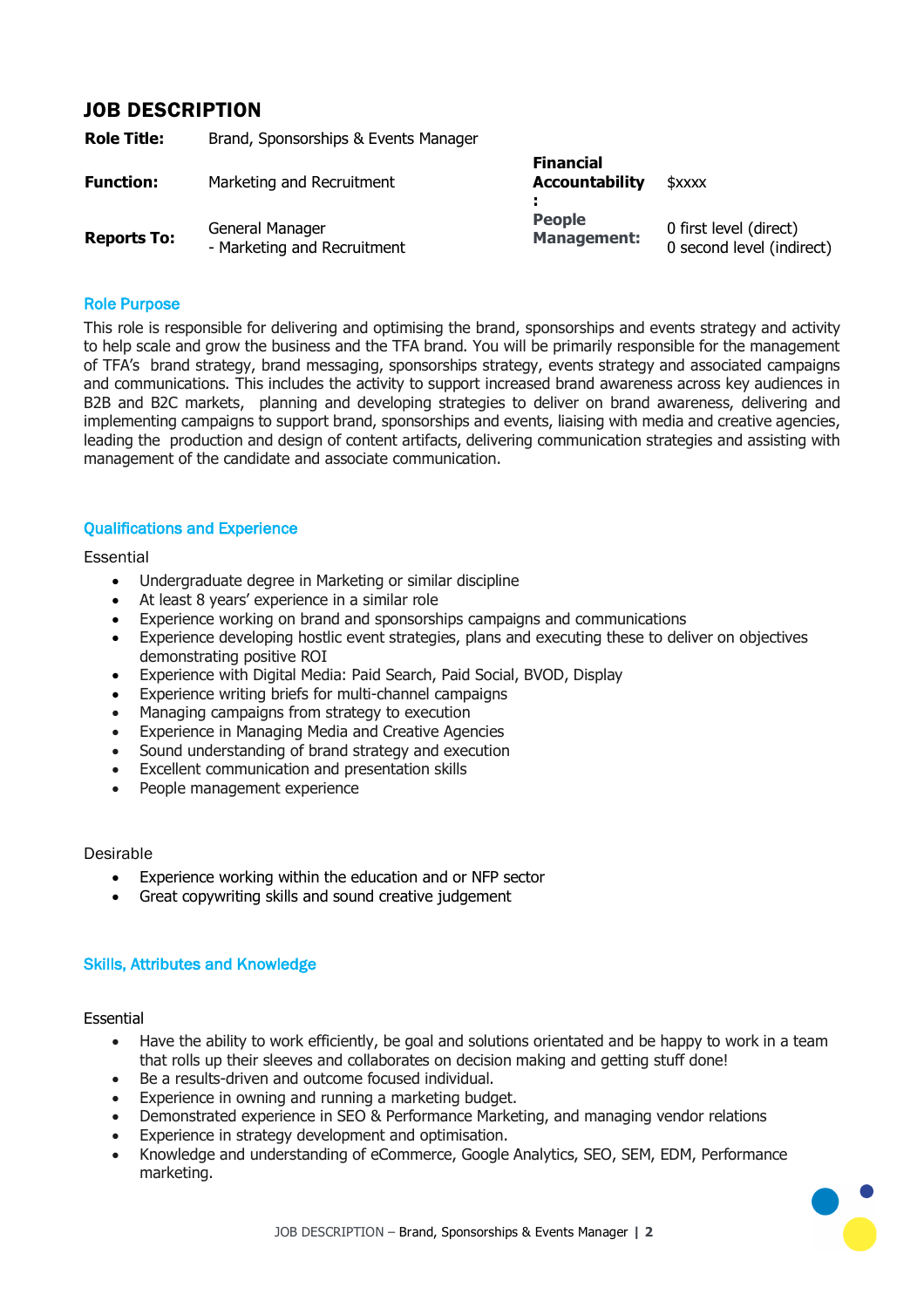## JOB DESCRIPTION

| Role Title:        | Brand, Sponsorships & Events Manager           |                                           |                                                     |
|--------------------|------------------------------------------------|-------------------------------------------|-----------------------------------------------------|
| Function:          | Marketing and Recruitment                      | <b>Financial</b><br><b>Accountability</b> | \$xxxx                                              |
| <b>Reports To:</b> | General Manager<br>- Marketing and Recruitment | <b>People</b><br><b>Management:</b>       | 0 first level (direct)<br>0 second level (indirect) |

#### Role Purpose

This role is responsible for delivering and optimising the brand, sponsorships and events strategy and activity to help scale and grow the business and the TFA brand. You will be primarily responsible for the management of TFA's brand strategy, brand messaging, sponsorships strategy, events strategy and associated campaigns and communications. This includes the activity to support increased brand awareness across key audiences in B2B and B2C markets, planning and developing strategies to deliver on brand awareness, delivering and implementing campaigns to support brand, sponsorships and events, liaising with media and creative agencies, leading the production and design of content artifacts, delivering communication strategies and assisting with management of the candidate and associate communication.

### Qualifications and Experience

#### **Essential**

- Undergraduate degree in Marketing or similar discipline
- At least 8 years' experience in a similar role
- Experience working on brand and sponsorships campaigns and communications
- Experience developing hostlic event strategies, plans and executing these to deliver on objectives demonstrating positive ROI
- Experience with Digital Media: Paid Search, Paid Social, BVOD, Display
- Experience writing briefs for multi-channel campaigns
- Managing campaigns from strategy to execution
- Experience in Managing Media and Creative Agencies
- Sound understanding of brand strategy and execution
- Excellent communication and presentation skills
- People management experience

### Desirable

- Experience working within the education and or NFP sector
- Great copywriting skills and sound creative judgement

### Skills, Attributes and Knowledge

### Essential

- Have the ability to work efficiently, be goal and solutions orientated and be happy to work in a team that rolls up their sleeves and collaborates on decision making and getting stuff done!
- Be a results-driven and outcome focused individual.
- Experience in owning and running a marketing budget.
- Demonstrated experience in SEO & Performance Marketing, and managing vendor relations
- Experience in strategy development and optimisation.
- Knowledge and understanding of eCommerce, Google Analytics, SEO, SEM, EDM, Performance marketing.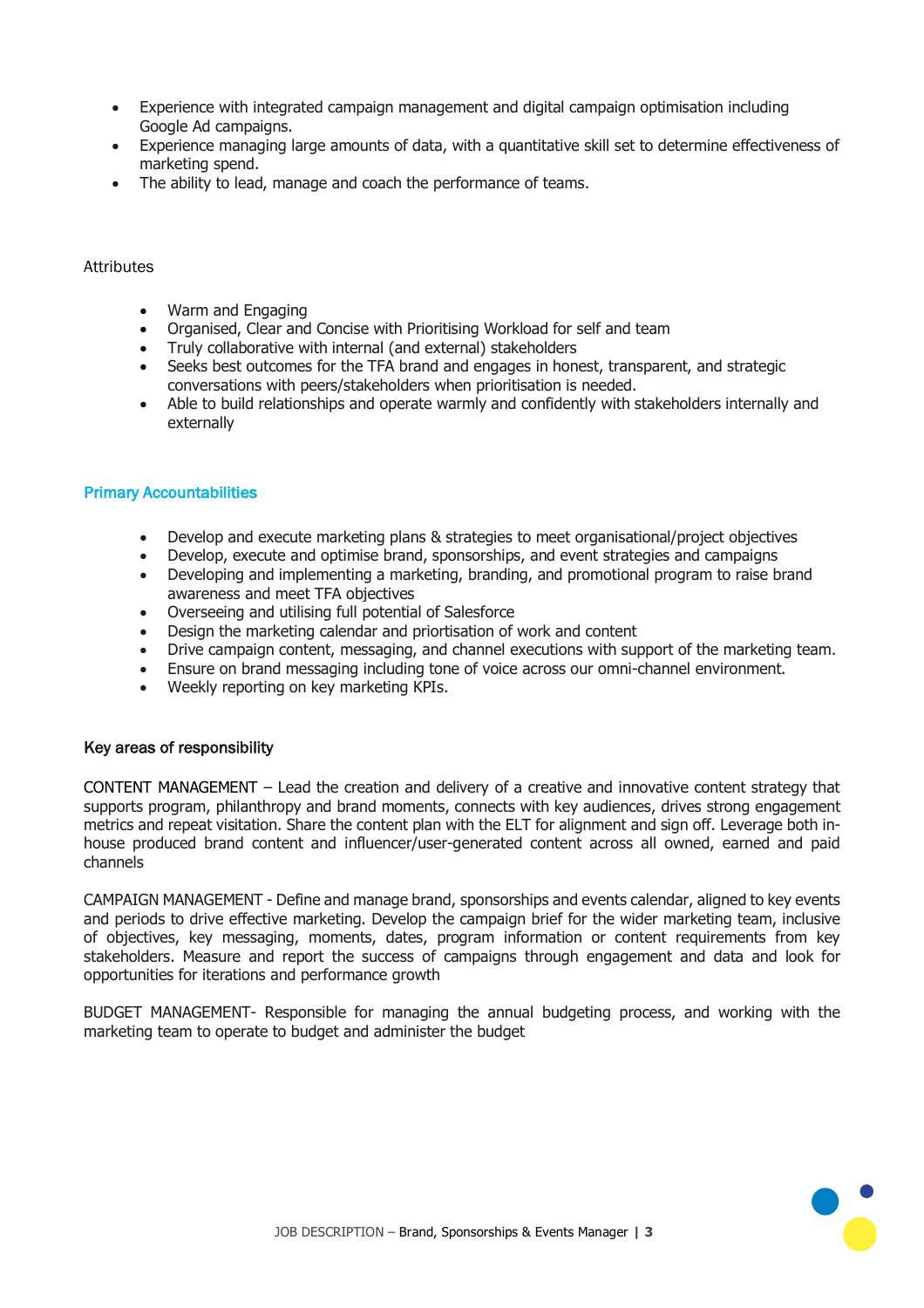- Experience with integrated campaign management and digital campaign optimisation including Google Ad campaigns.
- Experience managing large amounts of data, with a quantitative skill set to determine effectiveness of marketing spend.
- The ability to lead, manage and coach the performance of teams.

### Attributes

- Warm and Engaging
- Organised, Clear and Concise with Prioritising Workload for self and team
- Truly collaborative with internal (and external) stakeholders
- Seeks best outcomes for the TFA brand and engages in honest, transparent, and strategic conversations with peers/stakeholders when prioritisation is needed.
- Able to build relationships and operate warmly and confidently with stakeholders internally and externally

### Primary Accountabilities

- Develop and execute marketing plans & strategies to meet organisational/project objectives
- Develop, execute and optimise brand, sponsorships, and event strategies and campaigns
- Developing and implementing a marketing, branding, and promotional program to raise brand awareness and meet TFA objectives
- Overseeing and utilising full potential of Salesforce
- Design the marketing calendar and priortisation of work and content
- Drive campaign content, messaging, and channel executions with support of the marketing team.
- Ensure on brand messaging including tone of voice across our omni-channel environment.
- Weekly reporting on key marketing KPIs.

### Key areas of responsibility

CONTENT MANAGEMENT – Lead the creation and delivery of a creative and innovative content strategy that supports program, philanthropy and brand moments, connects with key audiences, drives strong engagement metrics and repeat visitation. Share the content plan with the ELT for alignment and sign off. Leverage both inhouse produced brand content and influencer/user-generated content across all owned, earned and paid channels

CAMPAIGN MANAGEMENT - Define and manage brand, sponsorships and events calendar, aligned to key events and periods to drive effective marketing. Develop the campaign brief for the wider marketing team, inclusive of objectives, key messaging, moments, dates, program information or content requirements from key stakeholders. Measure and report the success of campaigns through engagement and data and look for opportunities for iterations and performance growth

BUDGET MANAGEMENT- Responsible for managing the annual budgeting process, and working with the marketing team to operate to budget and administer the budget